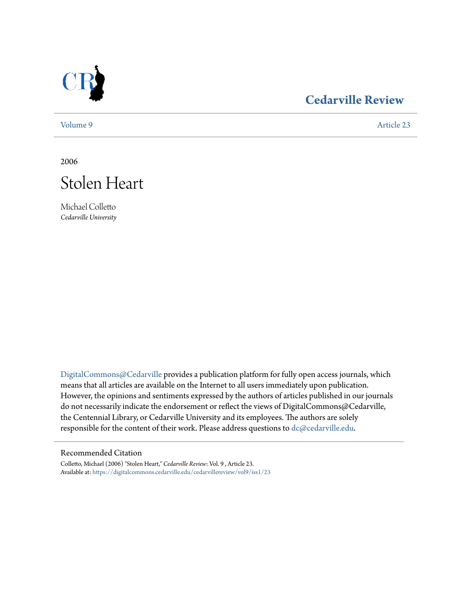

## **[Cedarville Review](https://digitalcommons.cedarville.edu/cedarvillereview?utm_source=digitalcommons.cedarville.edu%2Fcedarvillereview%2Fvol9%2Fiss1%2F23&utm_medium=PDF&utm_campaign=PDFCoverPages)**

[Volume 9](https://digitalcommons.cedarville.edu/cedarvillereview/vol9?utm_source=digitalcommons.cedarville.edu%2Fcedarvillereview%2Fvol9%2Fiss1%2F23&utm_medium=PDF&utm_campaign=PDFCoverPages) [Article 23](https://digitalcommons.cedarville.edu/cedarvillereview/vol9/iss1/23?utm_source=digitalcommons.cedarville.edu%2Fcedarvillereview%2Fvol9%2Fiss1%2F23&utm_medium=PDF&utm_campaign=PDFCoverPages)

2006



Michael Colletto *Cedarville University*

[DigitalCommons@Cedarville](http://digitalcommons.cedarville.edu) provides a publication platform for fully open access journals, which means that all articles are available on the Internet to all users immediately upon publication. However, the opinions and sentiments expressed by the authors of articles published in our journals do not necessarily indicate the endorsement or reflect the views of DigitalCommons@Cedarville, the Centennial Library, or Cedarville University and its employees. The authors are solely responsible for the content of their work. Please address questions to [dc@cedarville.edu](mailto:dc@cedarville.edu).

## Recommended Citation

Colletto, Michael (2006) "Stolen Heart," *Cedarville Review*: Vol. 9 , Article 23. Available at: [https://digitalcommons.cedarville.edu/cedarvillereview/vol9/iss1/23](https://digitalcommons.cedarville.edu/cedarvillereview/vol9/iss1/23?utm_source=digitalcommons.cedarville.edu%2Fcedarvillereview%2Fvol9%2Fiss1%2F23&utm_medium=PDF&utm_campaign=PDFCoverPages)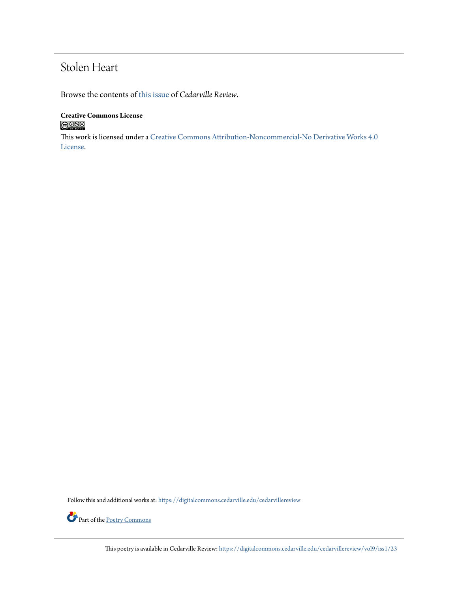## Stolen Heart

Browse the contents of [this issue](https://digitalcommons.cedarville.edu/cedarvillereview/vol9/iss1) of *Cedarville Review*.

**Creative Commons License**  $\bigcirc$  000

This work is licensed under a [Creative Commons Attribution-Noncommercial-No Derivative Works 4.0](http://creativecommons.org/licenses/by-nc-nd/4.0/) [License.](http://creativecommons.org/licenses/by-nc-nd/4.0/)

Follow this and additional works at: [https://digitalcommons.cedarville.edu/cedarvillereview](https://digitalcommons.cedarville.edu/cedarvillereview?utm_source=digitalcommons.cedarville.edu%2Fcedarvillereview%2Fvol9%2Fiss1%2F23&utm_medium=PDF&utm_campaign=PDFCoverPages)



Part of the <u>[Poetry Commons](http://network.bepress.com/hgg/discipline/1153?utm_source=digitalcommons.cedarville.edu%2Fcedarvillereview%2Fvol9%2Fiss1%2F23&utm_medium=PDF&utm_campaign=PDFCoverPages)</u>

This poetry is available in Cedarville Review: [https://digitalcommons.cedarville.edu/cedarvillereview/vol9/iss1/23](https://digitalcommons.cedarville.edu/cedarvillereview/vol9/iss1/23?utm_source=digitalcommons.cedarville.edu%2Fcedarvillereview%2Fvol9%2Fiss1%2F23&utm_medium=PDF&utm_campaign=PDFCoverPages)